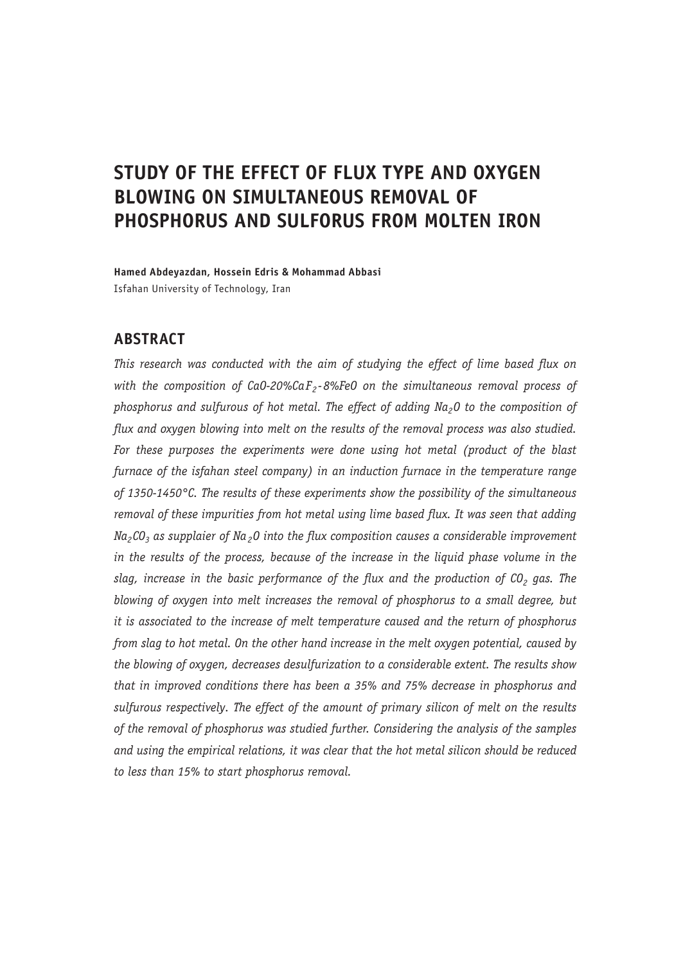# **STUDY OF THE EFFECT OF FLUX TYPE AND OXYGEN BLOWING ON SIMULTANEOUS REMOVAL OF PHOSPHORUS AND SULFORUS FROM MOLTEN IRON**

**Hamed Abdeyazdan, Hossein Edris & Mohammad Abbasi** Isfahan University of Technology, Iran

# **ABSTRACT**

*This research was conducted with the aim of studying the effect of lime based flux on*  with the composition of CaO-20%CaF<sub>2</sub>-8%FeO on the simultaneous removal process of phosphorus and sulfurous of hot metal. The effect of adding Na<sub>2</sub>0 to the composition of *flux and oxygen blowing into melt on the results of the removal process was also studied.*  For these purposes the experiments were done using hot metal (product of the blast *furnace of the isfahan steel company) in an induction furnace in the temperature range of 1350-1450°C. The results of these experiments show the possibility of the simultaneous removal of these impurities from hot metal using lime based flux. It was seen that adding Na<sub>2</sub>CO<sub>3</sub> as supplaier of Na<sub>2</sub>O into the flux composition causes a considerable improvement in the results of the process, because of the increase in the liquid phase volume in the slag, increase in the basic performance of the flux and the production of CO<sub>2</sub> gas. The blowing of oxygen into melt increases the removal of phosphorus to a small degree, but it is associated to the increase of melt temperature caused and the return of phosphorus from slag to hot metal. On the other hand increase in the melt oxygen potential, caused by the blowing of oxygen, decreases desulfurization to a considerable extent. The results show that in improved conditions there has been a 35% and 75% decrease in phosphorus and sulfurous respectively. The effect of the amount of primary silicon of melt on the results of the removal of phosphorus was studied further. Considering the analysis of the samples and using the empirical relations, it was clear that the hot metal silicon should be reduced to less than 15% to start phosphorus removal.*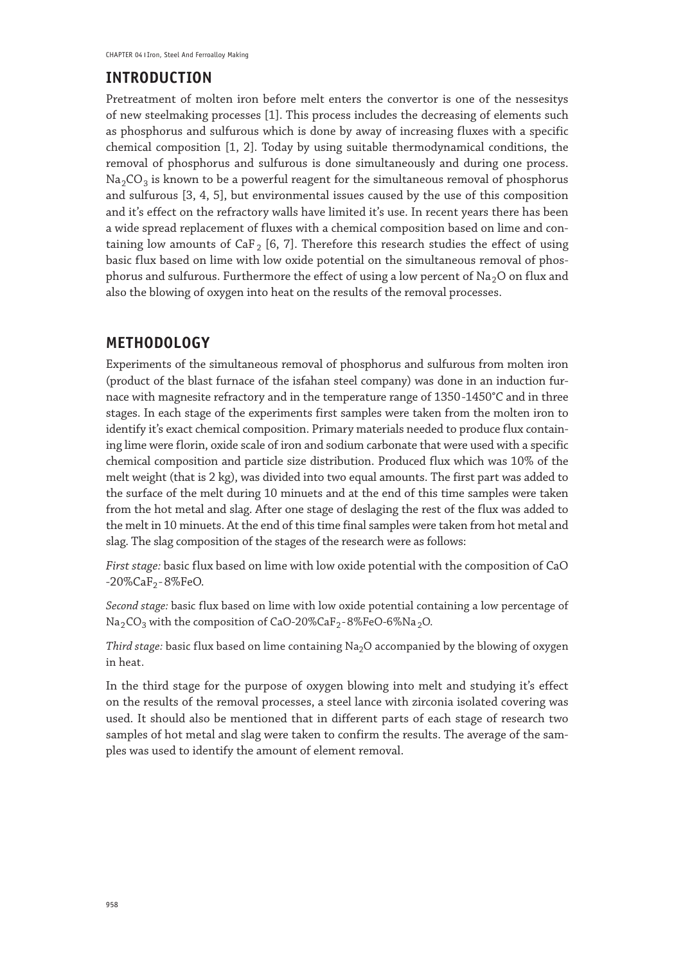# **INTRODUCTION**

Pretreatment of molten iron before melt enters the convertor is one of the nessesitys of new steelmaking processes [1]. This process includes the decreasing of elements such as phosphorus and sulfurous which is done by away of increasing fluxes with a specific chemical composition [1, 2]. Today by using suitable thermodynamical conditions, the removal of phosphorus and sulfurous is done simultaneously and during one process.  $\text{Na}_2\text{CO}_3$  is known to be a powerful reagent for the simultaneous removal of phosphorus and sulfurous [3, 4, 5], but environmental issues caused by the use of this composition and it's effect on the refractory walls have limited it's use. In recent years there has been a wide spread replacement of fluxes with a chemical composition based on lime and containing low amounts of CaF<sub>2</sub> [6, 7]. Therefore this research studies the effect of using basic flux based on lime with low oxide potential on the simultaneous removal of phosphorus and sulfurous. Furthermore the effect of using a low percent of  $Na<sub>2</sub>O$  on flux and also the blowing of oxygen into heat on the results of the removal processes.

# **METHODOLOGY**

Experiments of the simultaneous removal of phosphorus and sulfurous from molten iron (product of the blast furnace of the isfahan steel company) was done in an induction furnace with magnesite refractory and in the temperature range of 1350 -1450°C and in three stages. In each stage of the experiments first samples were taken from the molten iron to identify it's exact chemical composition. Primary materials needed to produce flux containing lime were florin, oxide scale of iron and sodium carbonate that were used with a specific chemical composition and particle size distribution. Produced flux which was 10% of the melt weight (that is 2 kg), was divided into two equal amounts. The first part was added to the surface of the melt during 10 minuets and at the end of this time samples were taken from the hot metal and slag. After one stage of deslaging the rest of the flux was added to the melt in 10 minuets. At the end of this time final samples were taken from hot metal and slag. The slag composition of the stages of the research were as follows:

*First stage:* basic flux based on lime with low oxide potential with the composition of CaO  $-20\%$ CaF<sub>2</sub> $-8\%$ FeO.

*Second stage:* basic flux based on lime with low oxide potential containing a low percentage of  $Na<sub>2</sub>CO<sub>3</sub>$  with the composition of CaO-20%CaF<sub>2</sub>-8%FeO-6%Na<sub>2</sub>O.

Third stage: basic flux based on lime containing Na<sub>2</sub>O accompanied by the blowing of oxygen in heat.

In the third stage for the purpose of oxygen blowing into melt and studying it's effect on the results of the removal processes, a steel lance with zirconia isolated covering was used. It should also be mentioned that in different parts of each stage of research two samples of hot metal and slag were taken to confirm the results. The average of the samples was used to identify the amount of element removal.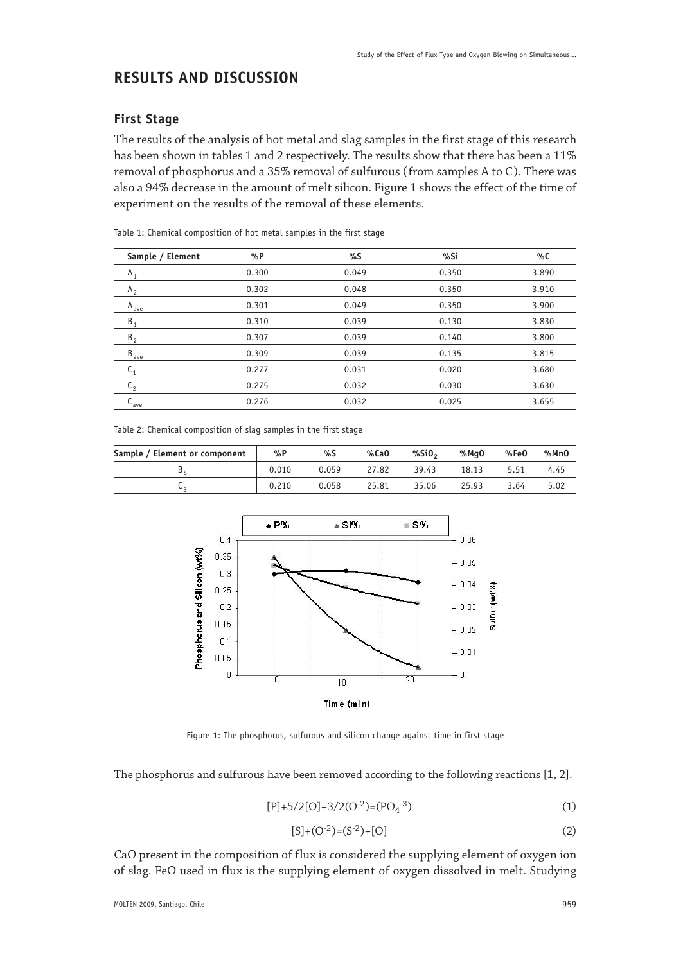# **RESULTS AND DISCUSSION**

### **First Stage**

The results of the analysis of hot metal and slag samples in the first stage of this research has been shown in tables 1 and 2 respectively. The results show that there has been a 11% removal of phosphorus and a 35% removal of sulfurous (from samples A to C). There was also a 94% decrease in the amount of melt silicon. Figure 1 shows the effect of the time of experiment on the results of the removal of these elements.

| Sample / Element      | $\%P$ | %S    | %Si   | %C    |
|-----------------------|-------|-------|-------|-------|
| $A_1$                 | 0.300 | 0.049 | 0.350 | 3.890 |
| $A_{2}$               | 0.302 | 0.048 | 0.350 | 3.910 |
| A <sub>ave</sub>      | 0.301 | 0.049 | 0.350 | 3.900 |
| $B_1$                 | 0.310 | 0.039 | 0.130 | 3.830 |
| B <sub>2</sub>        | 0.307 | 0.039 | 0.140 | 3.800 |
| $B_{\underline{ave}}$ | 0.309 | 0.039 | 0.135 | 3.815 |
| ∪1                    | 0.277 | 0.031 | 0.020 | 3.680 |
| $\mathfrak{c}_2$      | 0.275 | 0.032 | 0.030 | 3.630 |
| $\mathsf{L}_{ave}$    | 0.276 | 0.032 | 0.025 | 3.655 |

Table 1: Chemical composition of hot metal samples in the first stage

Table 2: Chemical composition of slag samples in the first stage

| Sample / Element or component | %P    | %S    | %CaO  | %SiO $\cdot$ | %MaO  | %Fe0 | %MnO |
|-------------------------------|-------|-------|-------|--------------|-------|------|------|
|                               | 0.010 | 0.059 | 27.82 | 39.43        | 18.13 | 5.51 | 4.45 |
| ◡                             | 0.210 | 0.058 | 25.81 | 35.06        | 25.93 | 3.64 | 5.02 |



Figure 1: The phosphorus, sulfurous and silicon change against time in first stage

The phosphorus and sulfurous have been removed according to the following reactions [1, 2].

$$
[P] + 5/2[O] + 3/2(O^{-2}) = (PO4-3)
$$
 (1)

$$
[S] + (O^{-2}) = (S^{-2}) + [O]
$$
 (2)

CaO present in the composition of flux is considered the supplying element of oxygen ion of slag. FeO used in flux is the supplying element of oxygen dissolved in melt. Studying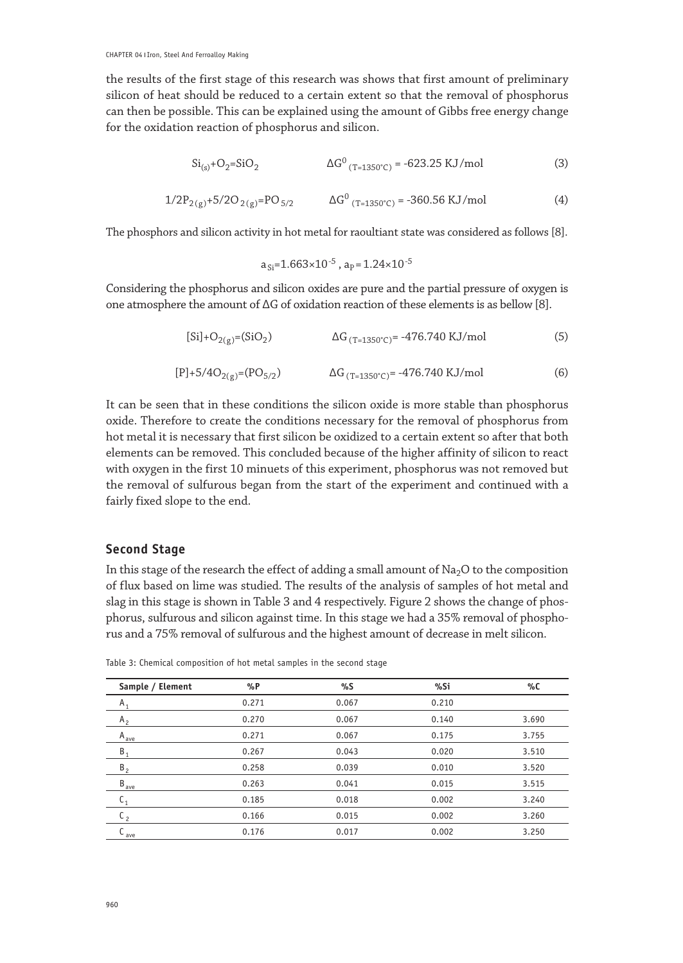the results of the first stage of this research was shows that first amount of preliminary silicon of heat should be reduced to a certain extent so that the removal of phosphorus can then be possible. This can be explained using the amount of Gibbs free energy change for the oxidation reaction of phosphorus and silicon.

$$
Si_{(s)} + O_2 = SiO_2
$$
  $\Delta G^0_{(T=1350^\circ C)} = -623.25 \text{ KJ/mol}$  (3)

$$
1/2P_{2(g)} + 5/2O_{2(g)} = PO_{5/2} \qquad \Delta G^0_{(T=1350^\circ C)} = -360.56 \text{ KJ/mol}
$$
 (4)

The phosphors and silicon activity in hot metal for raoultiant state was considered as follows [8].

$$
a_{Si}
$$
=1.663×10<sup>-5</sup>,  $a_p$ =1.24×10<sup>-5</sup>

Considering the phosphorus and silicon oxides are pure and the partial pressure of oxygen is one atmosphere the amount of ∆G of oxidation reaction of these elements is as bellow [8].

$$
[Si] + O_{2(g)} = (SiO_2) \qquad \qquad \Delta G_{(T=1350^{\circ}C)} = -476.740 \text{ KJ/mol} \tag{5}
$$

$$
[P] + 5/4O_{2(g)} = (PO_{5/2}) \qquad \qquad \Delta G_{(T=1350^{\circ}C)} = -476.740 \text{ KJ/mol}
$$
 (6)

It can be seen that in these conditions the silicon oxide is more stable than phosphorus oxide. Therefore to create the conditions necessary for the removal of phosphorus from hot metal it is necessary that first silicon be oxidized to a certain extent so after that both elements can be removed. This concluded because of the higher affinity of silicon to react with oxygen in the first 10 minuets of this experiment, phosphorus was not removed but the removal of sulfurous began from the start of the experiment and continued with a fairly fixed slope to the end.

#### **Second Stage**

In this stage of the research the effect of adding a small amount of  $Na<sub>2</sub>O$  to the composition of flux based on lime was studied. The results of the analysis of samples of hot metal and slag in this stage is shown in Table 3 and 4 respectively. Figure 2 shows the change of phosphorus, sulfurous and silicon against time. In this stage we had a 35% removal of phosphorus and a 75% removal of sulfurous and the highest amount of decrease in melt silicon.

| Sample / Element   | $\%P$ | %S    | %Si   | %C    |
|--------------------|-------|-------|-------|-------|
| $A_1$              | 0.271 | 0.067 | 0.210 |       |
| A <sub>2</sub>     | 0.270 | 0.067 | 0.140 | 3.690 |
| A <sub>ave</sub>   | 0.271 | 0.067 | 0.175 | 3.755 |
| $B_1$              | 0.267 | 0.043 | 0.020 | 3.510 |
| B <sub>2</sub>     | 0.258 | 0.039 | 0.010 | 3.520 |
| B <sub>ave</sub>   | 0.263 | 0.041 | 0.015 | 3.515 |
| $\mathsf{L}_1$     | 0.185 | 0.018 | 0.002 | 3.240 |
| $\mathfrak{c}_{2}$ | 0.166 | 0.015 | 0.002 | 3.260 |
| ave                | 0.176 | 0.017 | 0.002 | 3.250 |
|                    |       |       |       |       |

Table 3: Chemical composition of hot metal samples in the second stage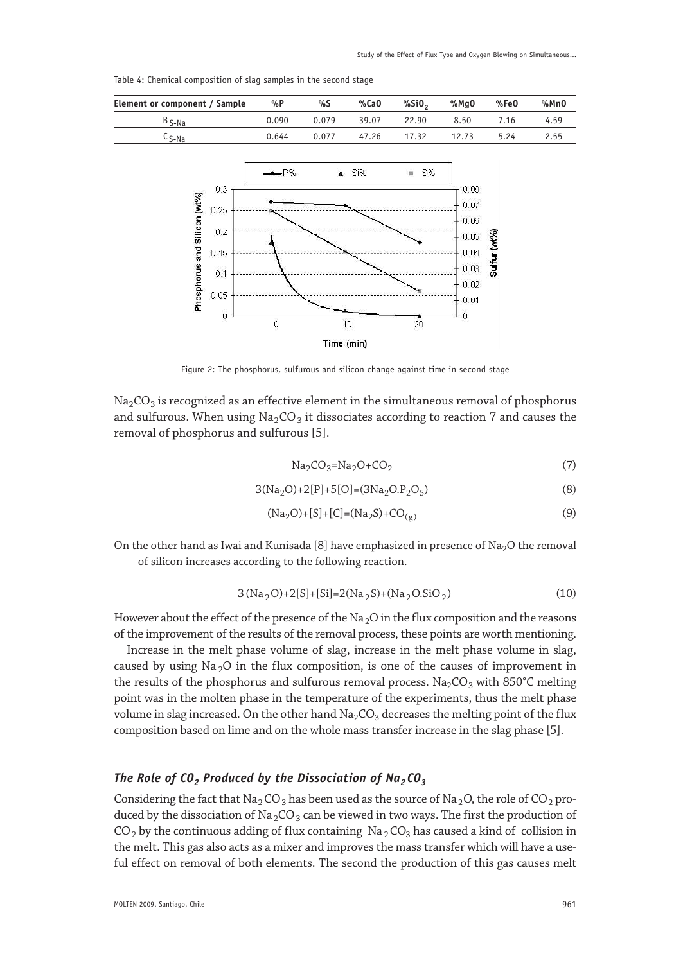0.05

0 M  $0.03$ 

 $002$ 

 $0.01$ 

 $\overline{0}$ 

sulfur (wt%

| Element or component / Sample         | %P     | %S               | %CaO  | %SiO <sub>2</sub> | %Mq0                    | %FeO | %MnO |
|---------------------------------------|--------|------------------|-------|-------------------|-------------------------|------|------|
| $B_{S-Na}$                            | 0.090  | 0.079            | 39.07 | 22.90             | 8.50                    | 7.16 | 4.59 |
| $c_{S-Na}$                            | 0.644  | 0.077            | 47.26 | 17.32             | 12.73                   | 5.24 | 2.55 |
| 0.3<br>$(mP_0)$<br>0.25<br>$\epsilon$ | $-$ P% | $\blacktriangle$ | Si%   | $_{\rm HI}$<br>S% | 0.08<br>$+0.07$<br>0.00 |      |      |

Table 4: Chemical composition of slag samples in the second stage

Phosphorus and Silico

 $0.2$ 

 $0.15$ 

 $0.1$ 

 $0.05$ 

 $\circ$ 

 $\overline{0}$ 

Time (min) Figure 2: The phosphorus, sulfurous and silicon change against time in second stage

 $10$ 

 $Na<sub>2</sub>CO<sub>3</sub>$  is recognized as an effective element in the simultaneous removal of phosphorus and sulfurous. When using  $\text{Na}_2\text{CO}_3$  it dissociates according to reaction 7 and causes the removal of phosphorus and sulfurous [5].

$$
Na2CO3=Na2O+CO2
$$
\n(7)

$$
3(Na2O)+2[P]+5[O]=(3Na2O2O5)
$$
\n(8)

20

$$
(Na2O) + [S] + [C] = (Na2S) + CO(g)
$$
\n(9)

On the other hand as Iwai and Kunisada [8] have emphasized in presence of Na<sub>2</sub>O the removal of silicon increases according to the following reaction.

$$
3(Na_2O) + 2[S] + [Si] = 2(Na_2S) + (Na_2O.SiO_2)
$$
\n(10)

However about the effect of the presence of the Na<sub>2</sub>O in the flux composition and the reasons of the improvement of the results of the removal process, these points are worth mentioning.

Increase in the melt phase volume of slag, increase in the melt phase volume in slag, caused by using  $Na<sub>2</sub>O$  in the flux composition, is one of the causes of improvement in the results of the phosphorus and sulfurous removal process. Na<sub>2</sub>CO<sub>3</sub> with 850°C melting point was in the molten phase in the temperature of the experiments, thus the melt phase volume in slag increased. On the other hand  $Na<sub>2</sub>CO<sub>3</sub>$  decreases the melting point of the flux composition based on lime and on the whole mass transfer increase in the slag phase [5].

#### *The Role of CO<sub>2</sub> Produced by the Dissociation of Na<sub>2</sub> CO<sub>3</sub>*

Considering the fact that Na<sub>2</sub> CO<sub>3</sub> has been used as the source of Na<sub>2</sub>O, the role of CO<sub>2</sub> produced by the dissociation of Na<sub>2</sub>CO<sub>3</sub> can be viewed in two ways. The first the production of  $CO<sub>2</sub>$  by the continuous adding of flux containing Na<sub>2</sub> CO<sub>3</sub> has caused a kind of collision in the melt. This gas also acts as a mixer and improves the mass transfer which will have a useful effect on removal of both elements. The second the production of this gas causes melt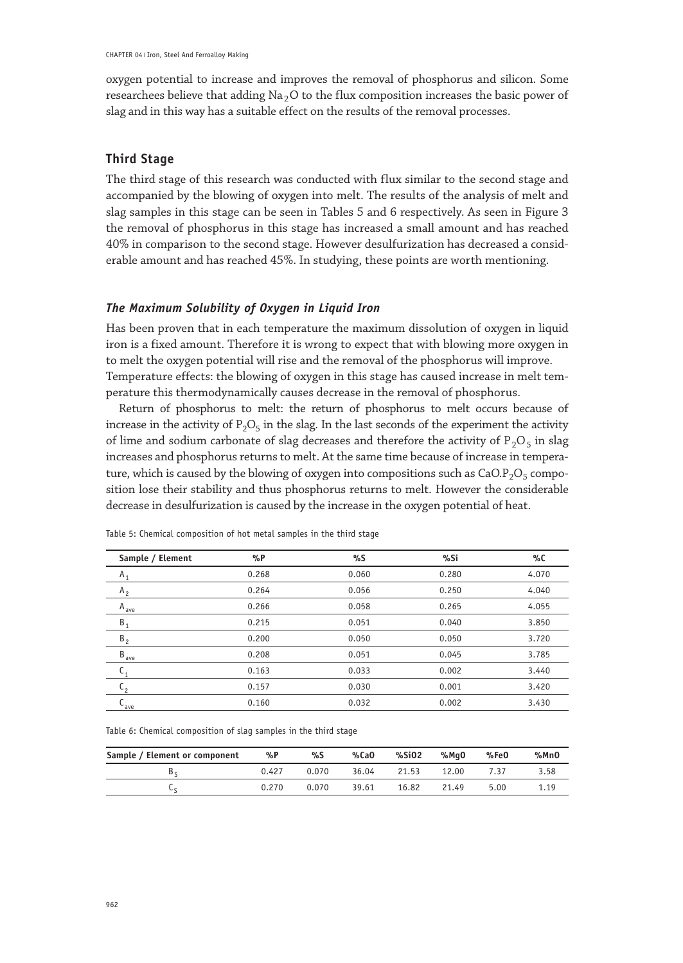oxygen potential to increase and improves the removal of phosphorus and silicon. Some researchees believe that adding  $Na<sub>2</sub>O$  to the flux composition increases the basic power of slag and in this way has a suitable effect on the results of the removal processes.

#### **Third Stage**

The third stage of this research was conducted with flux similar to the second stage and accompanied by the blowing of oxygen into melt. The results of the analysis of melt and slag samples in this stage can be seen in Tables 5 and 6 respectively. As seen in Figure 3 the removal of phosphorus in this stage has increased a small amount and has reached 40% in comparison to the second stage. However desulfurization has decreased a considerable amount and has reached 45%. In studying, these points are worth mentioning.

#### *The Maximum Solubility of Oxygen in Liquid Iron*

Has been proven that in each temperature the maximum dissolution of oxygen in liquid iron is a fixed amount. Therefore it is wrong to expect that with blowing more oxygen in to melt the oxygen potential will rise and the removal of the phosphorus will improve. Temperature effects: the blowing of oxygen in this stage has caused increase in melt temperature this thermodynamically causes decrease in the removal of phosphorus.

Return of phosphorus to melt: the return of phosphorus to melt occurs because of increase in the activity of  $P_2O_5$  in the slag. In the last seconds of the experiment the activity of lime and sodium carbonate of slag decreases and therefore the activity of  $P_2O_5$  in slag increases and phosphorus returns to melt. At the same time because of increase in temperature, which is caused by the blowing of oxygen into compositions such as  $CaO.P<sub>2</sub>O<sub>5</sub>$  composition lose their stability and thus phosphorus returns to melt. However the considerable decrease in desulfurization is caused by the increase in the oxygen potential of heat.

| Sample / Element | $\%P$ | %S    | %Si   | %C    |
|------------------|-------|-------|-------|-------|
| $A_1$            | 0.268 | 0.060 | 0.280 | 4.070 |
| A <sub>2</sub>   | 0.264 | 0.056 | 0.250 | 4.040 |
| $A_{ave}$        | 0.266 | 0.058 | 0.265 | 4.055 |
| $B_1$            | 0.215 | 0.051 | 0.040 | 3.850 |
| B <sub>2</sub>   | 0.200 | 0.050 | 0.050 | 3.720 |
| $B_{\text{ave}}$ | 0.208 | 0.051 | 0.045 | 3.785 |
| C <sub>1</sub>   | 0.163 | 0.033 | 0.002 | 3.440 |
| $\mathfrak{c}_2$ | 0.157 | 0.030 | 0.001 | 3.420 |
| $L_{ave}$        | 0.160 | 0.032 | 0.002 | 3.430 |

Table 5: Chemical composition of hot metal samples in the third stage

Table 6: Chemical composition of slag samples in the third stage

| Sample / Element or component | %P    | %S    | %CaO  | %SiO2 | %MaO  | %Fe0 | %MnO |
|-------------------------------|-------|-------|-------|-------|-------|------|------|
| Dr.                           | 0.427 | 0.070 | 36.04 | 21.53 | 12.00 | 7.37 | 3.58 |
|                               | 0.270 | 0.070 | 39.61 | 16.82 | 21.49 | 5.00 | 1.19 |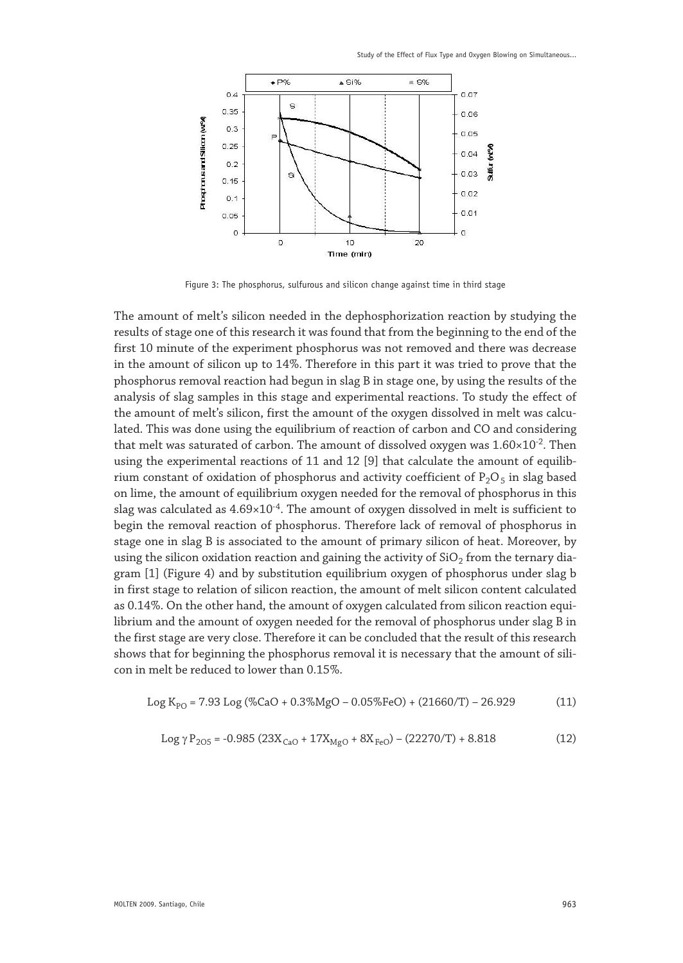Study of the Effect of Flux Type and Oxygen Blowing on Simultaneous...



Figure 3: The phosphorus, sulfurous and silicon change against time in third stage

The amount of melt's silicon needed in the dephosphorization reaction by studying the results of stage one of this research it was found that from the beginning to the end of the first 10 minute of the experiment phosphorus was not removed and there was decrease in the amount of silicon up to 14%. Therefore in this part it was tried to prove that the phosphorus removal reaction had begun in slag B in stage one, by using the results of the analysis of slag samples in this stage and experimental reactions. To study the effect of the amount of melt's silicon, first the amount of the oxygen dissolved in melt was calculated. This was done using the equilibrium of reaction of carbon and CO and considering that melt was saturated of carbon. The amount of dissolved oxygen was  $1.60 \times 10^{-2}$ . Then using the experimental reactions of 11 and 12 [9] that calculate the amount of equilibrium constant of oxidation of phosphorus and activity coefficient of  $P_2O_5$  in slag based on lime, the amount of equilibrium oxygen needed for the removal of phosphorus in this slag was calculated as  $4.69 \times 10^{-4}$ . The amount of oxygen dissolved in melt is sufficient to begin the removal reaction of phosphorus. Therefore lack of removal of phosphorus in stage one in slag B is associated to the amount of primary silicon of heat. Moreover, by using the silicon oxidation reaction and gaining the activity of  $SiO<sub>2</sub>$  from the ternary diagram [1] (Figure 4) and by substitution equilibrium oxygen of phosphorus under slag b in first stage to relation of silicon reaction, the amount of melt silicon content calculated as 0.14%. On the other hand, the amount of oxygen calculated from silicon reaction equilibrium and the amount of oxygen needed for the removal of phosphorus under slag B in the first stage are very close. Therefore it can be concluded that the result of this research shows that for beginning the phosphorus removal it is necessary that the amount of silicon in melt be reduced to lower than 0.15%.

Log K PO = 7.93 Log (%CaO + 0.3%MgO – 0.05%FeO) + (21660/T) – 26.929 (11)

$$
Log \gamma P_{205} = -0.985 (23X_{CaO} + 17X_{MgO} + 8X_{FeO}) - (22270/T) + 8.818
$$
 (12)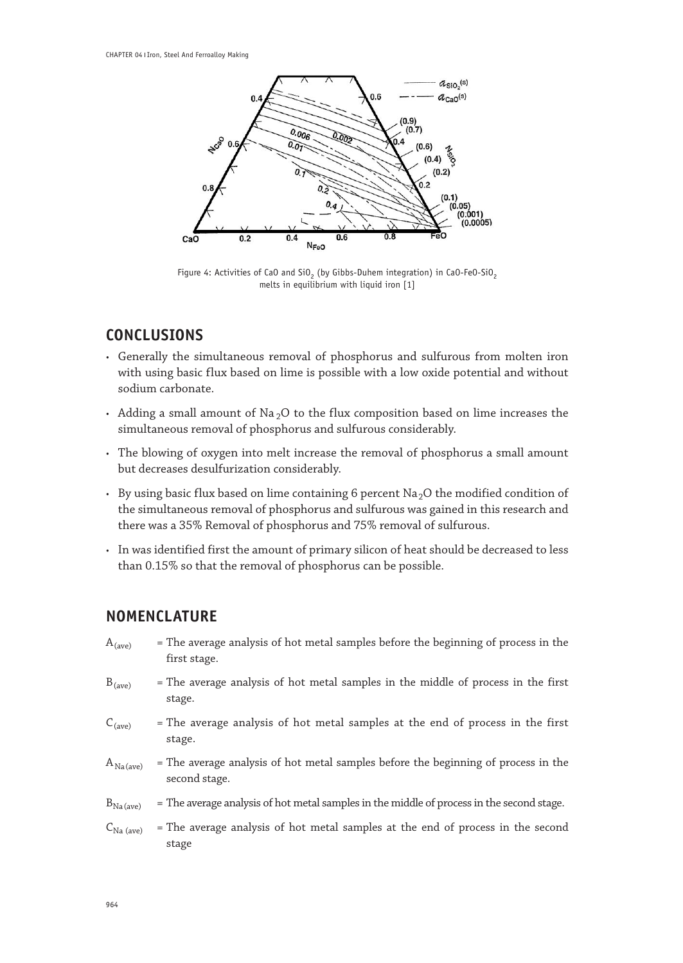

Figure 4: Activities of CaO and SiO<sub>2</sub> (by Gibbs-Duhem integration) in CaO-FeO-SiO<sub>2</sub> melts in equilibrium with liquid iron [1]

# **CONCLUSIONS**

- • Generally the simultaneous removal of phosphorus and sulfurous from molten iron with using basic flux based on lime is possible with a low oxide potential and without sodium carbonate.
- Adding a small amount of  $\text{Na}_2\text{O}$  to the flux composition based on lime increases the simultaneous removal of phosphorus and sulfurous considerably.
- The blowing of oxygen into melt increase the removal of phosphorus a small amount but decreases desulfurization considerably.
- By using basic flux based on lime containing 6 percent  $Na<sub>2</sub>O$  the modified condition of the simultaneous removal of phosphorus and sulfurous was gained in this research and there was a 35% Removal of phosphorus and 75% removal of sulfurous.
- • In was identified first the amount of primary silicon of heat should be decreased to less than 0.15% so that the removal of phosphorus can be possible.

# **NOMENCLATURE**

| $A_{(ave)}$           | = The average analysis of hot metal samples before the beginning of process in the<br>first stage.  |
|-----------------------|-----------------------------------------------------------------------------------------------------|
| $B_{(ave)}$           | = The average analysis of hot metal samples in the middle of process in the first<br>stage.         |
| $C_{(ave)}$           | = The average analysis of hot metal samples at the end of process in the first<br>stage.            |
| $A_{Na(ave)}$         | = The average analysis of hot metal samples before the beginning of process in the<br>second stage. |
| $B_{Na (ave)}$        | = The average analysis of hot metal samples in the middle of process in the second stage.           |
| $C_{\text{Na (ave)}}$ | = The average analysis of hot metal samples at the end of process in the second<br>stage            |